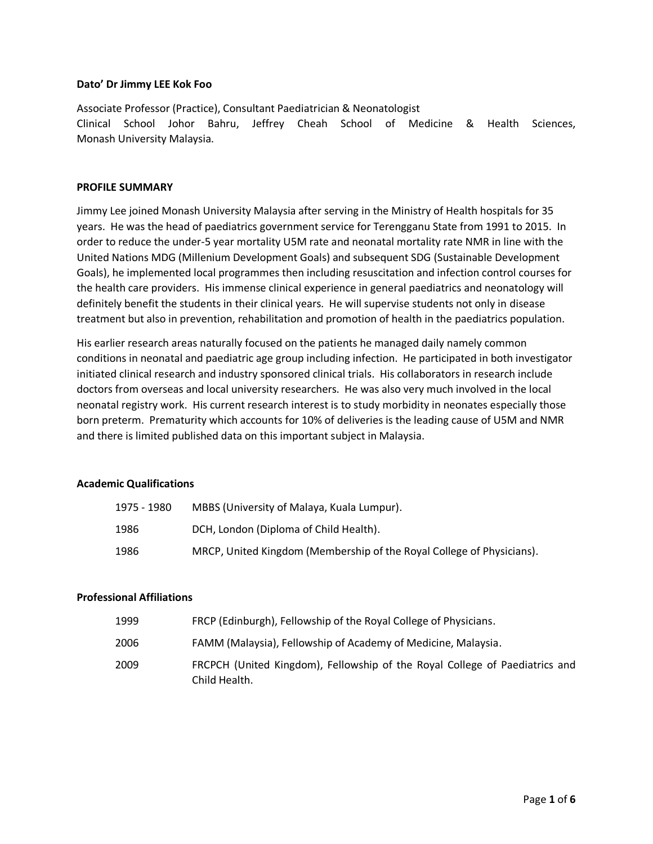#### **Dato' Dr Jimmy LEE Kok Foo**

Associate Professor (Practice), Consultant Paediatrician & Neonatologist Clinical School Johor Bahru, Jeffrey Cheah School of Medicine & Health Sciences, Monash University Malaysia.

#### **PROFILE SUMMARY**

Jimmy Lee joined Monash University Malaysia after serving in the Ministry of Health hospitals for 35 years. He was the head of paediatrics government service for Terengganu State from 1991 to 2015. In order to reduce the under-5 year mortality U5M rate and neonatal mortality rate NMR in line with the United Nations MDG (Millenium Development Goals) and subsequent SDG (Sustainable Development Goals), he implemented local programmes then including resuscitation and infection control courses for the health care providers. His immense clinical experience in general paediatrics and neonatology will definitely benefit the students in their clinical years. He will supervise students not only in disease treatment but also in prevention, rehabilitation and promotion of health in the paediatrics population.

His earlier research areas naturally focused on the patients he managed daily namely common conditions in neonatal and paediatric age group including infection. He participated in both investigator initiated clinical research and industry sponsored clinical trials. His collaborators in research include doctors from overseas and local university researchers. He was also very much involved in the local neonatal registry work. His current research interest is to study morbidity in neonates especially those born preterm. Prematurity which accounts for 10% of deliveries is the leading cause of U5M and NMR and there is limited published data on this important subject in Malaysia.

#### **Academic Qualifications**

| 1975 - 1980 | MBBS (University of Malaya, Kuala Lumpur).                            |
|-------------|-----------------------------------------------------------------------|
| 1986        | DCH, London (Diploma of Child Health).                                |
| 1986        | MRCP, United Kingdom (Membership of the Royal College of Physicians). |

## **Professional Affiliations**

| 1999 | FRCP (Edinburgh), Fellowship of the Royal College of Physicians.                             |
|------|----------------------------------------------------------------------------------------------|
| 2006 | FAMM (Malaysia), Fellowship of Academy of Medicine, Malaysia.                                |
| 2009 | FRCPCH (United Kingdom), Fellowship of the Royal College of Paediatrics and<br>Child Health. |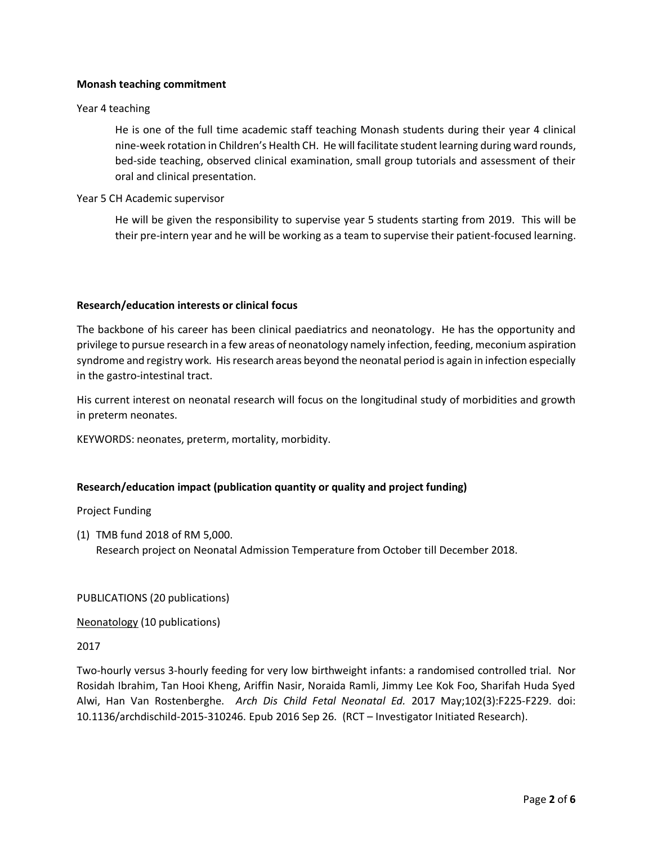#### **Monash teaching commitment**

#### Year 4 teaching

He is one of the full time academic staff teaching Monash students during their year 4 clinical nine-week rotation in Children's Health CH. He will facilitate student learning during ward rounds, bed-side teaching, observed clinical examination, small group tutorials and assessment of their oral and clinical presentation.

#### Year 5 CH Academic supervisor

He will be given the responsibility to supervise year 5 students starting from 2019. This will be their pre-intern year and he will be working as a team to supervise their patient-focused learning.

#### **Research/education interests or clinical focus**

The backbone of his career has been clinical paediatrics and neonatology. He has the opportunity and privilege to pursue research in a few areas of neonatology namely infection, feeding, meconium aspiration syndrome and registry work. His research areas beyond the neonatal period is again in infection especially in the gastro-intestinal tract.

His current interest on neonatal research will focus on the longitudinal study of morbidities and growth in preterm neonates.

KEYWORDS: neonates, preterm, mortality, morbidity.

## **Research/education impact (publication quantity or quality and project funding)**

Project Funding

(1) TMB fund 2018 of RM 5,000. Research project on Neonatal Admission Temperature from October till December 2018.

PUBLICATIONS (20 publications)

Neonatology (10 publications)

#### 2017

Two-hourly versus 3-hourly feeding for very low birthweight infants: a randomised controlled trial. Nor Rosidah Ibrahim, Tan Hooi Kheng, Ariffin Nasir, Noraida Ramli, Jimmy Lee Kok Foo, Sharifah Huda Syed Alwi, Han Van Rostenberghe. *Arch Dis Child Fetal Neonatal Ed.* 2017 May;102(3):F225-F229. doi: 10.1136/archdischild-2015-310246. Epub 2016 Sep 26. (RCT – Investigator Initiated Research).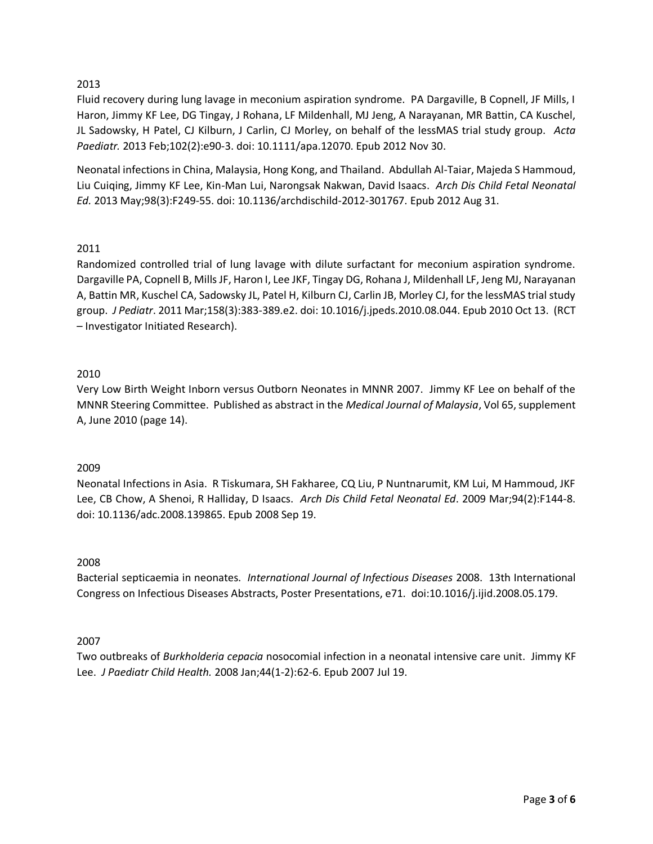# 2013

Fluid recovery during lung lavage in meconium aspiration syndrome. PA Dargaville, B Copnell, JF Mills, I Haron, Jimmy KF Lee, DG Tingay, J Rohana, LF Mildenhall, MJ Jeng, A Narayanan, MR Battin, CA Kuschel, JL Sadowsky, H Patel, CJ Kilburn, J Carlin, CJ Morley, on behalf of the lessMAS trial study group. *Acta Paediatr.* 2013 Feb;102(2):e90-3. doi: 10.1111/apa.12070. Epub 2012 Nov 30.

Neonatal infections in China, Malaysia, Hong Kong, and Thailand. Abdullah Al-Taiar, Majeda S Hammoud, Liu Cuiqing, Jimmy KF Lee, Kin-Man Lui, Narongsak Nakwan, David Isaacs. *Arch Dis Child Fetal Neonatal Ed.* 2013 May;98(3):F249-55. doi: 10.1136/archdischild-2012-301767. Epub 2012 Aug 31.

# 2011

Randomized controlled trial of lung lavage with dilute surfactant for meconium aspiration syndrome. Dargaville PA, Copnell B, Mills JF, Haron I, Lee JKF, Tingay DG, Rohana J, Mildenhall LF, Jeng MJ, Narayanan A, Battin MR, Kuschel CA, Sadowsky JL, Patel H, Kilburn CJ, Carlin JB, Morley CJ, for the lessMAS trial study group. *J Pediatr*. 2011 Mar;158(3):383-389.e2. doi: 10.1016/j.jpeds.2010.08.044. Epub 2010 Oct 13. (RCT – Investigator Initiated Research).

# 2010

Very Low Birth Weight Inborn versus Outborn Neonates in MNNR 2007. Jimmy KF Lee on behalf of the MNNR Steering Committee. Published as abstract in the *Medical Journal of Malaysia*, Vol 65, supplement A, June 2010 (page 14).

## 2009

Neonatal Infections in Asia. R Tiskumara, SH Fakharee, CQ Liu, P Nuntnarumit, KM Lui, M Hammoud, JKF Lee, CB Chow, A Shenoi, R Halliday, D Isaacs. *Arch Dis Child Fetal Neonatal Ed*. 2009 Mar;94(2):F144-8. doi: 10.1136/adc.2008.139865. Epub 2008 Sep 19.

## 2008

Bacterial septicaemia in neonates. *International Journal of Infectious Diseases* 2008. 13th International Congress on Infectious Diseases Abstracts, Poster Presentations, e71. doi:10.1016/j.ijid.2008.05.179.

## 2007

Two outbreaks of *Burkholderia cepacia* nosocomial infection in a neonatal intensive care unit. Jimmy KF Lee. *J Paediatr Child Health.* 2008 Jan;44(1-2):62-6. Epub 2007 Jul 19.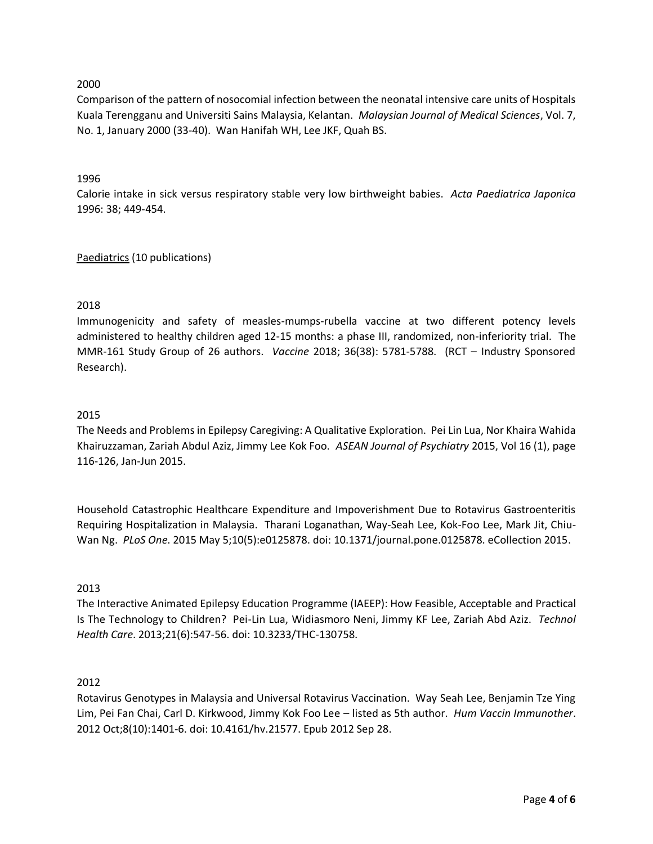# 2000

Comparison of the pattern of nosocomial infection between the neonatal intensive care units of Hospitals Kuala Terengganu and Universiti Sains Malaysia, Kelantan. *Malaysian Journal of Medical Sciences*, Vol. 7, No. 1, January 2000 (33-40). Wan Hanifah WH, Lee JKF, Quah BS.

## 1996

Calorie intake in sick versus respiratory stable very low birthweight babies. *Acta Paediatrica Japonica* 1996: 38; 449-454.

# Paediatrics (10 publications)

# 2018

Immunogenicity and safety of measles-mumps-rubella vaccine at two different potency levels administered to healthy children aged 12-15 months: a phase III, randomized, non-inferiority trial. The MMR-161 Study Group of 26 authors. *Vaccine* 2018; 36(38): 5781-5788. (RCT – Industry Sponsored Research).

## 2015

The Needs and Problems in Epilepsy Caregiving: A Qualitative Exploration. Pei Lin Lua, Nor Khaira Wahida Khairuzzaman, Zariah Abdul Aziz, Jimmy Lee Kok Foo. *ASEAN Journal of Psychiatry* 2015, Vol 16 (1), page 116-126, Jan-Jun 2015.

Household Catastrophic Healthcare Expenditure and Impoverishment Due to Rotavirus Gastroenteritis Requiring Hospitalization in Malaysia. Tharani Loganathan, Way-Seah Lee, Kok-Foo Lee, Mark Jit, Chiu-Wan Ng. *PLoS One*. 2015 May 5;10(5):e0125878. doi: 10.1371/journal.pone.0125878. eCollection 2015.

## 2013

The Interactive Animated Epilepsy Education Programme (IAEEP): How Feasible, Acceptable and Practical Is The Technology to Children? Pei-Lin Lua, Widiasmoro Neni, Jimmy KF Lee, Zariah Abd Aziz. *Technol Health Care*. 2013;21(6):547-56. doi: 10.3233/THC-130758.

## 2012

Rotavirus Genotypes in Malaysia and Universal Rotavirus Vaccination. Way Seah Lee, Benjamin Tze Ying Lim, Pei Fan Chai, Carl D. Kirkwood, Jimmy Kok Foo Lee – listed as 5th author. *Hum Vaccin Immunother*. 2012 Oct;8(10):1401-6. doi: 10.4161/hv.21577. Epub 2012 Sep 28.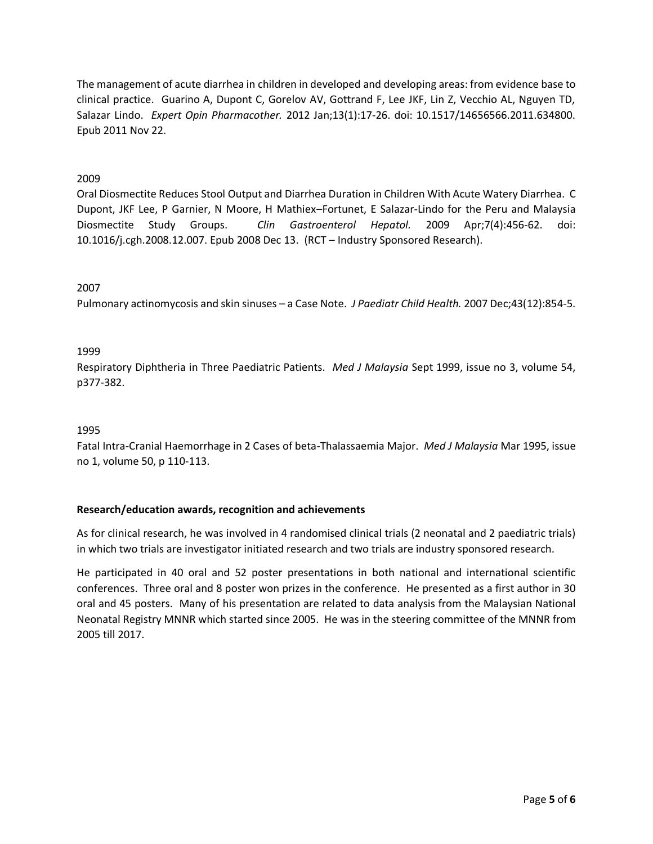The management of acute diarrhea in children in developed and developing areas: from evidence base to clinical practice. Guarino A, Dupont C, Gorelov AV, Gottrand F, Lee JKF, Lin Z, Vecchio AL, Nguyen TD, Salazar Lindo. *Expert Opin Pharmacother.* 2012 Jan;13(1):17-26. doi: 10.1517/14656566.2011.634800. Epub 2011 Nov 22.

# 2009

Oral Diosmectite Reduces Stool Output and Diarrhea Duration in Children With Acute Watery Diarrhea. C Dupont, JKF Lee, P Garnier, N Moore, H Mathiex–Fortunet, E Salazar-Lindo for the Peru and Malaysia Diosmectite Study Groups. *Clin Gastroenterol Hepatol.* 2009 Apr;7(4):456-62. doi: 10.1016/j.cgh.2008.12.007. Epub 2008 Dec 13. (RCT – Industry Sponsored Research).

## 2007

Pulmonary actinomycosis and skin sinuses – a Case Note. *J Paediatr Child Health.* 2007 Dec;43(12):854-5.

# 1999

Respiratory Diphtheria in Three Paediatric Patients. *Med J Malaysia* Sept 1999, issue no 3, volume 54, p377-382.

## 1995

Fatal Intra-Cranial Haemorrhage in 2 Cases of beta-Thalassaemia Major. *Med J Malaysia* Mar 1995, issue no 1, volume 50, p 110-113.

## **Research/education awards, recognition and achievements**

As for clinical research, he was involved in 4 randomised clinical trials (2 neonatal and 2 paediatric trials) in which two trials are investigator initiated research and two trials are industry sponsored research.

He participated in 40 oral and 52 poster presentations in both national and international scientific conferences. Three oral and 8 poster won prizes in the conference. He presented as a first author in 30 oral and 45 posters. Many of his presentation are related to data analysis from the Malaysian National Neonatal Registry MNNR which started since 2005. He was in the steering committee of the MNNR from 2005 till 2017.